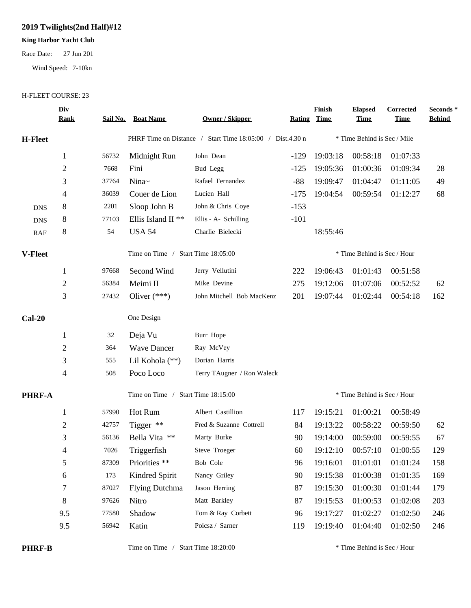## **2019 Twilights(2nd Half)#12**

## **King Harbor Yacht Club**

Race Date: 27 Jun 201

Wind Speed: 7-10kn

## H-FLEET COURSE: 23

|                | Div<br><b>Rank</b> |       | <b>Sail No. Boat Name</b>          | <b>Owner / Skipper</b>                                    | <b>Rating Time</b> | Finish                      | <b>Elapsed</b><br><u>Time</u> | Corrected<br><b>Time</b>   | Seconds*<br><b>Behind</b> |
|----------------|--------------------|-------|------------------------------------|-----------------------------------------------------------|--------------------|-----------------------------|-------------------------------|----------------------------|---------------------------|
| <b>H-Fleet</b> |                    |       |                                    | PHRF Time on Distance / Start Time 18:05:00 / Dist.4.30 n |                    |                             | * Time Behind is Sec / Mile   |                            |                           |
|                | $\mathbf{1}$       | 56732 | Midnight Run                       | John Dean                                                 | $-129$             | 19:03:18                    | 00:58:18                      | 01:07:33                   |                           |
|                | $\overline{c}$     | 7668  | Fini                               | Bud Legg                                                  | $-125$             | 19:05:36                    | 01:00:36                      | 01:09:34                   | 28                        |
|                | 3                  | 37764 | Nina~                              | Rafael Fernandez                                          | $-88$              | 19:09:47                    | 01:04:47                      | 01:11:05                   | 49                        |
|                | 4                  | 36039 | Couer de Lion                      | Lucien Hall                                               | $-175$             | 19:04:54                    | 00:59:54                      | 01:12:27                   | 68                        |
| <b>DNS</b>     | 8                  | 2201  | Sloop John B                       | John & Chris Coye                                         | $-153$             |                             |                               |                            |                           |
| <b>DNS</b>     | 8                  | 77103 | Ellis Island II <sup>**</sup>      | Ellis - A- Schilling                                      | $-101$             |                             |                               |                            |                           |
| RAF            | 8                  | 54    | <b>USA 54</b>                      | Charlie Bielecki                                          |                    | 18:55:46                    |                               |                            |                           |
| <b>V-Fleet</b> |                    |       | Time on Time / Start Time 18:05:00 |                                                           |                    | * Time Behind is Sec / Hour |                               |                            |                           |
|                | $\mathbf{1}$       | 97668 | Second Wind                        | Jerry Vellutini                                           | 222                | 19:06:43                    | 01:01:43                      | 00:51:58                   |                           |
|                | $\overline{c}$     | 56384 | Meimi II                           | Mike Devine                                               | 275                | 19:12:06                    | 01:07:06                      | 00:52:52                   | 62                        |
|                | 3                  | 27432 | Oliver $(***)$                     | John Mitchell Bob MacKenz                                 | 201                | 19:07:44                    | 01:02:44                      | 00:54:18                   | 162                       |
| $Cal-20$       |                    |       | One Design                         |                                                           |                    |                             |                               |                            |                           |
|                | $\mathbf{1}$       | 32    | Deja Vu                            | Burr Hope                                                 |                    |                             |                               |                            |                           |
|                | 2                  | 364   | <b>Wave Dancer</b>                 | Ray McVey                                                 |                    |                             |                               |                            |                           |
|                | 3                  | 555   | Lil Kohola (**)                    | Dorian Harris                                             |                    |                             |                               |                            |                           |
|                | 4                  | 508   | Poco Loco                          | Terry TAugner / Ron Waleck                                |                    |                             |                               |                            |                           |
| <b>PHRF-A</b>  |                    |       | Time on Time / Start Time 18:15:00 |                                                           |                    | * Time Behind is Sec / Hour |                               |                            |                           |
|                | 1                  | 57990 | Hot Rum                            | Albert Castillion                                         | 117                | 19:15:21                    | 01:00:21                      | 00:58:49                   |                           |
|                | $\overline{c}$     | 42757 | Tigger $**$                        | Fred & Suzanne Cottrell                                   | 84                 | 19:13:22                    | 00:58:22                      | 00:59:50                   | 62                        |
|                | 3                  | 56136 | Bella Vita **                      | Marty Burke                                               | 90                 | 19:14:00                    | 00:59:00                      | 00:59:55                   | 67                        |
|                | 4                  | 7026  | Triggerfish                        | Steve Troeger                                             | 60                 |                             |                               | 19:12:10 00:57:10 01:00:55 | 129                       |
|                | 5                  | 87309 | Priorities **                      | Bob Cole                                                  | 96                 | 19:16:01                    | 01:01:01                      | 01:01:24                   | 158                       |
|                | 6                  | 173   | Kindred Spirit                     | Nancy Griley                                              | 90                 | 19:15:38                    | 01:00:38                      | 01:01:35                   | 169                       |
|                | 7                  | 87027 | <b>Flying Dutchma</b>              | Jason Herring                                             | 87                 | 19:15:30                    | 01:00:30                      | 01:01:44                   | 179                       |
|                | $8\,$              | 97626 | Nitro                              | Matt Barkley                                              | 87                 | 19:15:53                    | 01:00:53                      | 01:02:08                   | 203                       |
|                | 9.5                | 77580 | Shadow                             | Tom & Ray Corbett                                         | 96                 | 19:17:27                    | 01:02:27                      | 01:02:50                   | 246                       |
|                | 9.5                | 56942 | Katin                              | Poicsz / Sarner                                           | 119                | 19:19:40                    | 01:04:40                      | 01:02:50                   | 246                       |
|                |                    |       |                                    |                                                           |                    |                             |                               |                            |                           |

**PHRF-B** Time on Time / Start Time 18:20:00 \* Time Behind is Sec / Hour